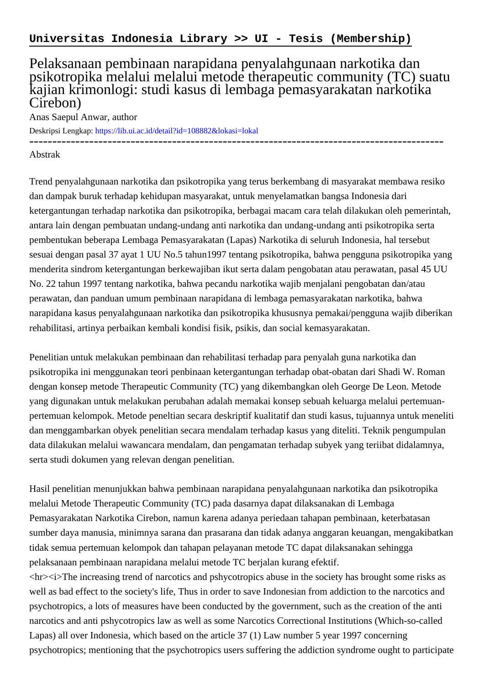## Pelaksanaan pembinaan narapidana penyalahgunaan narkotika dan psikotropika melalui melalui metode therapeutic community (TC) suatu kajian krimonlogi: studi kasus di lembaga pemasyarakatan narkotika Cirebon)

Anas Saepul Anwar, author

Deskripsi Lengkap:<https://lib.ui.ac.id/detail?id=108882&lokasi=lokal>

------------------------------------------------------------------------------------------

## Abstrak

Trend penyalahgunaan narkotika dan psikotropika yang terus berkembang di masyarakat membawa resiko dan dampak buruk terhadap kehidupan masyarakat, untuk menyelamatkan bangsa Indonesia dari ketergantungan terhadap narkotika dan psikotropika, berbagai macam cara telah dilakukan oleh pemerintah, antara lain dengan pembuatan undang-undang anti narkotika dan undang-undang anti psikotropika serta pembentukan beberapa Lembaga Pemasyarakatan (Lapas) Narkotika di seluruh Indonesia, hal tersebut sesuai dengan pasal 37 ayat 1 UU No.5 tahun1997 tentang psikotropika, bahwa pengguna psikotropika yang menderita sindrom ketergantungan berkewajiban ikut serta dalam pengobatan atau perawatan, pasal 45 UU No. 22 tahun 1997 tentang narkotika, bahwa pecandu narkotika wajib menjalani pengobatan dan/atau perawatan, dan panduan umum pembinaan narapidana di lembaga pemasyarakatan narkotika, bahwa narapidana kasus penyalahgunaan narkotika dan psikotropika khususnya pemakai/pengguna wajib diberikan rehabilitasi, artinya perbaikan kembali kondisi fisik, psikis, dan social kemasyarakatan.

Penelitian untuk melakukan pembinaan dan rehabilitasi terhadap para penyalah guna narkotika dan psikotropika ini menggunakan teori penbinaan ketergantungan terhadap obat-obatan dari Shadi W. Roman dengan konsep metode Therapeutic Community (TC) yang dikembangkan oleh George De Leon. Metode yang digunakan untuk melakukan perubahan adalah memakai konsep sebuah keluarga melalui pertemuanpertemuan kelompok. Metode peneltian secara deskriptif kualitatif dan studi kasus, tujuannya untuk meneliti dan menggambarkan obyek penelitian secara mendalam terhadap kasus yang diteliti. Teknik pengumpulan data dilakukan melalui wawancara mendalam, dan pengamatan terhadap subyek yang teriibat didalamnya, serta studi dokumen yang relevan dengan penelitian.

Hasil penelitian menunjukkan bahwa pembinaan narapidana penyalahgunaan narkotika dan psikotropika melalui Metode Therapeutic Community (TC) pada dasarnya dapat dilaksanakan di Lembaga Pemasyarakatan Narkotika Cirebon, namun karena adanya periedaan tahapan pembinaan, keterbatasan sumber daya manusia, minimnya sarana dan prasarana dan tidak adanya anggaran keuangan, mengakibatkan tidak semua pertemuan kelompok dan tahapan pelayanan metode TC dapat dilaksanakan sehingga pelaksanaan pembinaan narapidana melalui metode TC berjalan kurang efektif. <hr><i>The increasing trend of narcotics and pshycotropics abuse in the society has brought some risks as well as bad effect to the society's life, Thus in order to save Indonesian from addiction to the narcotics and psychotropics, a lots of measures have been conducted by the government, such as the creation of the anti narcotics and anti pshycotropics law as well as some Narcotics Correctional Institutions (Which-so-called Lapas) all over Indonesia, which based on the article 37 (1) Law number 5 year 1997 concerning psychotropics; mentioning that the psychotropics users suffering the addiction syndrome ought to participate